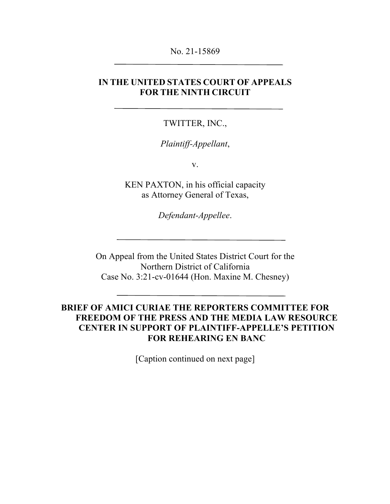#### No. 21-15869

## **IN THE UNITED STATES COURT OF APPEALS FOR THE NINTH CIRCUIT**

#### TWITTER, INC.,

#### *Plaintiff-Appellant*,

v.

KEN PAXTON, in his official capacity as Attorney General of Texas,

*Defendant-Appellee*.

On Appeal from the United States District Court for the Northern District of California Case No. 3:21-cv-01644 (Hon. Maxine M. Chesney)

### **BRIEF OF AMICI CURIAE THE REPORTERS COMMITTEE FOR FREEDOM OF THE PRESS AND THE MEDIA LAW RESOURCE CENTER IN SUPPORT OF PLAINTIFF-APPELLE'S PETITION FOR REHEARING EN BANC**

[Caption continued on next page]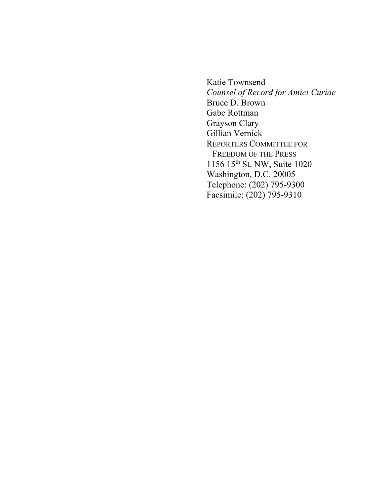Katie Townsend *Counsel of Record for Amici Curiae* Bruce D. Brown Gabe Rottman Grayson Clary Gillian Vernick REPORTERS COMMITTEE FOR FREEDOM OF THE PRESS 1156 15th St. NW, Suite 1020 Washington, D.C. 20005 Telephone: (202) 795-9300 Facsimile: (202) 795-9310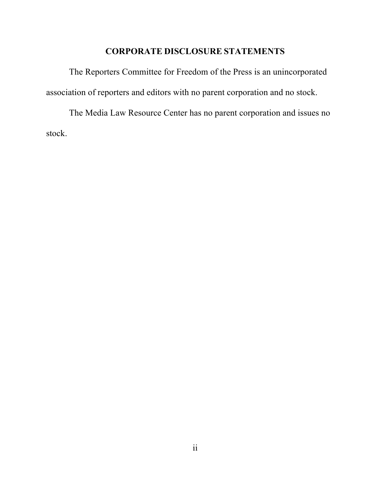### **CORPORATE DISCLOSURE STATEMENTS**

The Reporters Committee for Freedom of the Press is an unincorporated association of reporters and editors with no parent corporation and no stock.

The Media Law Resource Center has no parent corporation and issues no stock.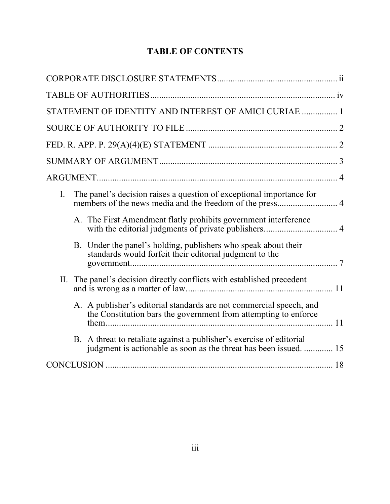# **TABLE OF CONTENTS**

| STATEMENT OF IDENTITY AND INTEREST OF AMICI CURIAE  1                                                                                     |
|-------------------------------------------------------------------------------------------------------------------------------------------|
|                                                                                                                                           |
|                                                                                                                                           |
|                                                                                                                                           |
|                                                                                                                                           |
| The panel's decision raises a question of exceptional importance for<br>Ι.<br>members of the news media and the freedom of the press 4    |
| A. The First Amendment flatly prohibits government interference                                                                           |
| B. Under the panel's holding, publishers who speak about their<br>standards would forfeit their editorial judgment to the                 |
| II. The panel's decision directly conflicts with established precedent                                                                    |
| A. A publisher's editorial standards are not commercial speech, and<br>the Constitution bars the government from attempting to enforce    |
| B. A threat to retaliate against a publisher's exercise of editorial<br>judgment is actionable as soon as the threat has been issued.  15 |
|                                                                                                                                           |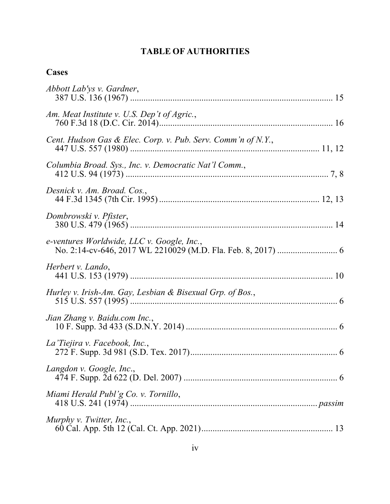# **TABLE OF AUTHORITIES**

# **Cases**

| Abbott Lab'ys v. Gardner,                                    |
|--------------------------------------------------------------|
| Am. Meat Institute v. U.S. Dep't of Agric.,                  |
| Cent. Hudson Gas & Elec. Corp. v. Pub. Serv. Comm'n of N.Y., |
| Columbia Broad. Sys., Inc. v. Democratic Nat'l Comm.,        |
| Desnick v. Am. Broad. Cos.,                                  |
| Dombrowski v. Pfister,                                       |
| e-ventures Worldwide, LLC v. Google, Inc.,                   |
| Herbert v. Lando,                                            |
| Hurley v. Irish-Am. Gay, Lesbian & Bisexual Grp. of Bos.,    |
| Jian Zhang v. Baidu.com Inc.,                                |
| La Tiejira v. Facebook, Inc.,                                |
| Langdon v. Google, Inc.,                                     |
| Miami Herald Publ'g Co. v. Tornillo,                         |
| Murphy v. Twitter, Inc.,                                     |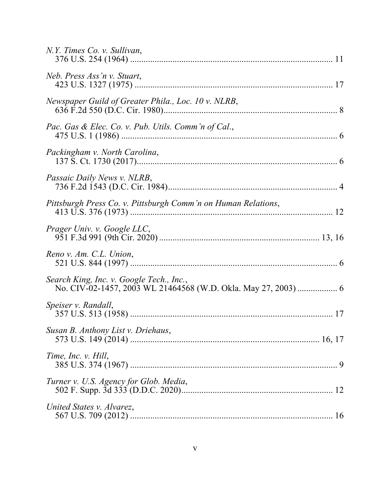| N.Y. Times Co. v. Sullivan,                                                                                |
|------------------------------------------------------------------------------------------------------------|
| Neb. Press Ass'n v. Stuart,                                                                                |
| Newspaper Guild of Greater Phila., Loc. 10 v. NLRB,                                                        |
| Pac. Gas & Elec. Co. v. Pub. Utils. Comm'n of Cal.,                                                        |
| Packingham v. North Carolina,                                                                              |
| Passaic Daily News v. NLRB,                                                                                |
| Pittsburgh Press Co. v. Pittsburgh Comm'n on Human Relations,                                              |
| Prager Univ. v. Google LLC,                                                                                |
| Reno v. Am. C.L. Union,                                                                                    |
| Search King, Inc. v. Google Tech., Inc.,<br>No. CIV-02-1457, 2003 WL 21464568 (W.D. Okla. May 27, 2003)  6 |
| Speiser v. Randall,                                                                                        |
| Susan B. Anthony List v. Driehaus,                                                                         |
| Time, Inc. v. Hill,                                                                                        |
| Turner v. U.S. Agency for Glob. Media,                                                                     |
| United States v. Alvarez,                                                                                  |
|                                                                                                            |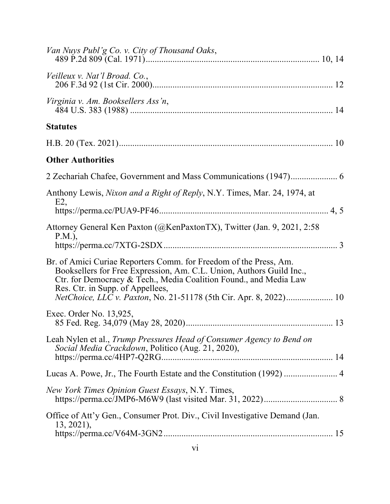| Van Nuys Publ'g Co. v. City of Thousand Oaks,                                                                                                                                                                                                                                                                           |
|-------------------------------------------------------------------------------------------------------------------------------------------------------------------------------------------------------------------------------------------------------------------------------------------------------------------------|
| Veilleux v. Nat'l Broad. Co.,                                                                                                                                                                                                                                                                                           |
| Virginia v. Am. Booksellers Ass'n,                                                                                                                                                                                                                                                                                      |
| <b>Statutes</b>                                                                                                                                                                                                                                                                                                         |
|                                                                                                                                                                                                                                                                                                                         |
| <b>Other Authorities</b>                                                                                                                                                                                                                                                                                                |
|                                                                                                                                                                                                                                                                                                                         |
| Anthony Lewis, Nixon and a Right of Reply, N.Y. Times, Mar. 24, 1974, at                                                                                                                                                                                                                                                |
| E2                                                                                                                                                                                                                                                                                                                      |
| Attorney General Ken Paxton (@KenPaxtonTX), Twitter (Jan. 9, 2021, 2:58<br>$P.M.$ ),                                                                                                                                                                                                                                    |
| Br. of Amici Curiae Reporters Comm. for Freedom of the Press, Am.<br>Booksellers for Free Expression, Am. C.L. Union, Authors Guild Inc.,<br>Ctr. for Democracy & Tech., Media Coalition Found., and Media Law<br>Res. Ctr. in Supp. of Appellees,<br>NetChoice, LLC v. Paxton, No. 21-51178 (5th Cir. Apr. 8, 2022) 10 |
| Exec. Order No. 13,925,                                                                                                                                                                                                                                                                                                 |
| Leah Nylen et al., Trump Pressures Head of Consumer Agency to Bend on<br>Social Media Crackdown, Politico (Aug. 21, 2020),                                                                                                                                                                                              |
| Lucas A. Powe, Jr., The Fourth Estate and the Constitution (1992)  4                                                                                                                                                                                                                                                    |
| New York Times Opinion Guest Essays, N.Y. Times,                                                                                                                                                                                                                                                                        |
| Office of Att'y Gen., Consumer Prot. Div., Civil Investigative Demand (Jan.<br>$13, 2021$ ,                                                                                                                                                                                                                             |
|                                                                                                                                                                                                                                                                                                                         |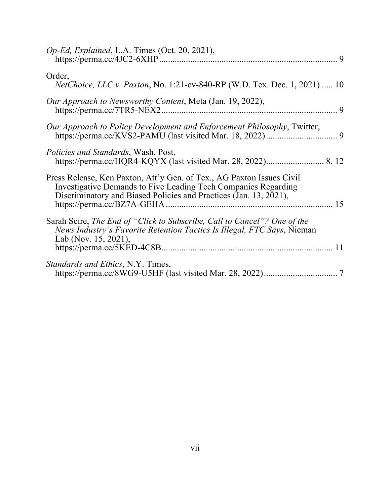| Op-Ed, Explained, L.A. Times (Oct. 20, 2021),                                                                                                                                                                |  |
|--------------------------------------------------------------------------------------------------------------------------------------------------------------------------------------------------------------|--|
| Order,<br>NetChoice, LLC v. Paxton, No. 1:21-cv-840-RP (W.D. Tex. Dec. 1, 2021)  10                                                                                                                          |  |
| Our Approach to Newsworthy Content, Meta (Jan. 19, 2022),                                                                                                                                                    |  |
| Our Approach to Policy Development and Enforcement Philosophy, Twitter,                                                                                                                                      |  |
| <i>Policies and Standards</i> , Wash. Post,                                                                                                                                                                  |  |
| Press Release, Ken Paxton, Att'y Gen. of Tex., AG Paxton Issues Civil<br>Investigative Demands to Five Leading Tech Companies Regarding<br>Discriminatory and Biased Policies and Practices (Jan. 13, 2021), |  |
| Sarah Scire, The End of "Click to Subscribe, Call to Cancel"? One of the<br>News Industry's Favorite Retention Tactics Is Illegal, FTC Says, Nieman<br>Lab (Nov. 15, 2021),                                  |  |
| <i>Standards and Ethics, N.Y. Times,</i>                                                                                                                                                                     |  |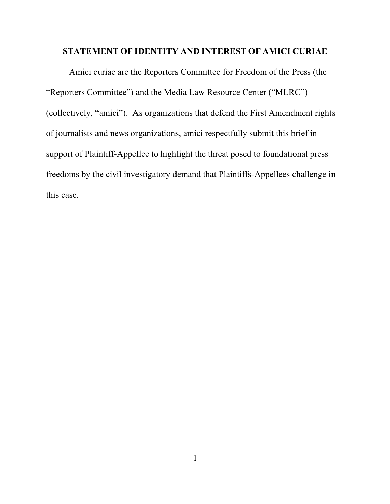### **STATEMENT OF IDENTITY AND INTEREST OF AMICI CURIAE**

Amici curiae are the Reporters Committee for Freedom of the Press (the "Reporters Committee") and the Media Law Resource Center ("MLRC") (collectively, "amici"). As organizations that defend the First Amendment rights of journalists and news organizations, amici respectfully submit this brief in support of Plaintiff-Appellee to highlight the threat posed to foundational press freedoms by the civil investigatory demand that Plaintiffs-Appellees challenge in this case.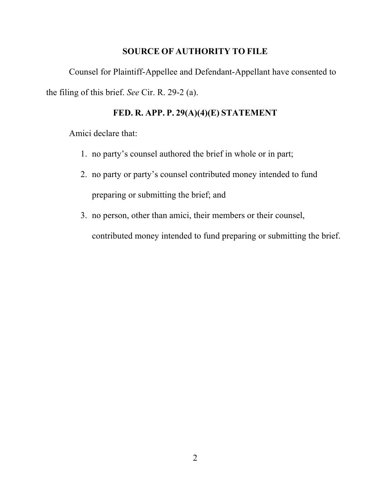### **SOURCE OF AUTHORITY TO FILE**

Counsel for Plaintiff-Appellee and Defendant-Appellant have consented to the filing of this brief. *See* Cir. R. 29-2 (a).

# **FED. R. APP. P. 29(A)(4)(E) STATEMENT**

Amici declare that:

- 1. no party's counsel authored the brief in whole or in part;
- 2. no party or party's counsel contributed money intended to fund preparing or submitting the brief; and
- 3. no person, other than amici, their members or their counsel, contributed money intended to fund preparing or submitting the brief.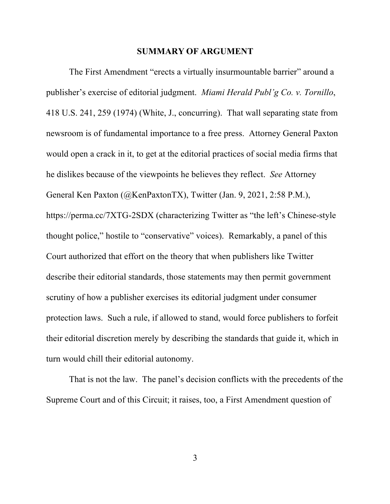#### **SUMMARY OF ARGUMENT**

The First Amendment "erects a virtually insurmountable barrier" around a publisher's exercise of editorial judgment. *Miami Herald Publ'g Co. v. Tornillo*, 418 U.S. 241, 259 (1974) (White, J., concurring). That wall separating state from newsroom is of fundamental importance to a free press. Attorney General Paxton would open a crack in it, to get at the editorial practices of social media firms that he dislikes because of the viewpoints he believes they reflect. *See* Attorney General Ken Paxton (@KenPaxtonTX), Twitter (Jan. 9, 2021, 2:58 P.M.), https://perma.cc/7XTG-2SDX (characterizing Twitter as "the left's Chinese-style thought police," hostile to "conservative" voices). Remarkably, a panel of this Court authorized that effort on the theory that when publishers like Twitter describe their editorial standards, those statements may then permit government scrutiny of how a publisher exercises its editorial judgment under consumer protection laws. Such a rule, if allowed to stand, would force publishers to forfeit their editorial discretion merely by describing the standards that guide it, which in turn would chill their editorial autonomy.

That is not the law. The panel's decision conflicts with the precedents of the Supreme Court and of this Circuit; it raises, too, a First Amendment question of

3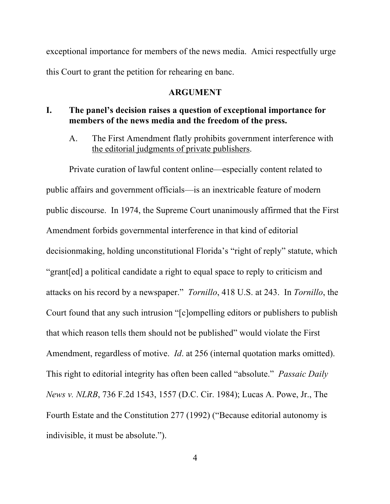exceptional importance for members of the news media. Amici respectfully urge this Court to grant the petition for rehearing en banc.

#### **ARGUMENT**

#### **I. The panel's decision raises a question of exceptional importance for members of the news media and the freedom of the press.**

A. The First Amendment flatly prohibits government interference with the editorial judgments of private publishers.

Private curation of lawful content online—especially content related to public affairs and government officials—is an inextricable feature of modern public discourse. In 1974, the Supreme Court unanimously affirmed that the First Amendment forbids governmental interference in that kind of editorial decisionmaking, holding unconstitutional Florida's "right of reply" statute, which "grant[ed] a political candidate a right to equal space to reply to criticism and attacks on his record by a newspaper." *Tornillo*, 418 U.S. at 243. In *Tornillo*, the Court found that any such intrusion "[c]ompelling editors or publishers to publish that which reason tells them should not be published" would violate the First Amendment, regardless of motive. *Id*. at 256 (internal quotation marks omitted). This right to editorial integrity has often been called "absolute." *Passaic Daily News v. NLRB*, 736 F.2d 1543, 1557 (D.C. Cir. 1984); Lucas A. Powe, Jr., The Fourth Estate and the Constitution 277 (1992) ("Because editorial autonomy is indivisible, it must be absolute.").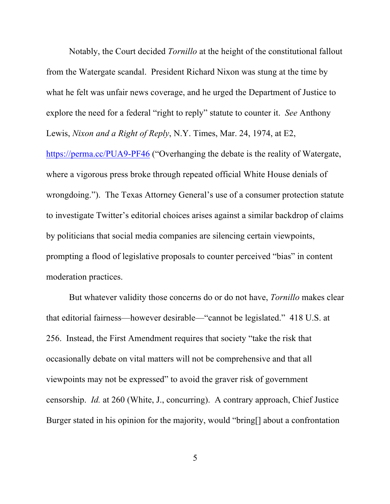Notably, the Court decided *Tornillo* at the height of the constitutional fallout from the Watergate scandal. President Richard Nixon was stung at the time by what he felt was unfair news coverage, and he urged the Department of Justice to explore the need for a federal "right to reply" statute to counter it. *See* Anthony Lewis, *Nixon and a Right of Reply*, N.Y. Times, Mar. 24, 1974, at E2,

https://perma.cc/PUA9-PF46 ("Overhanging the debate is the reality of Watergate, where a vigorous press broke through repeated official White House denials of wrongdoing."). The Texas Attorney General's use of a consumer protection statute to investigate Twitter's editorial choices arises against a similar backdrop of claims by politicians that social media companies are silencing certain viewpoints, prompting a flood of legislative proposals to counter perceived "bias" in content moderation practices.

But whatever validity those concerns do or do not have, *Tornillo* makes clear that editorial fairness—however desirable—"cannot be legislated." 418 U.S. at 256. Instead, the First Amendment requires that society "take the risk that occasionally debate on vital matters will not be comprehensive and that all viewpoints may not be expressed" to avoid the graver risk of government censorship. *Id.* at 260 (White, J., concurring). A contrary approach, Chief Justice Burger stated in his opinion for the majority, would "bring[] about a confrontation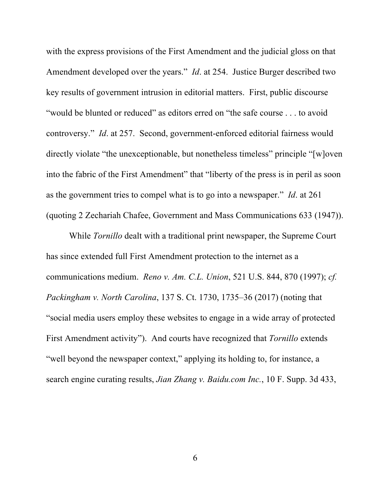with the express provisions of the First Amendment and the judicial gloss on that Amendment developed over the years." *Id*. at 254. Justice Burger described two key results of government intrusion in editorial matters. First, public discourse "would be blunted or reduced" as editors erred on "the safe course . . . to avoid controversy." *Id*. at 257. Second, government-enforced editorial fairness would directly violate "the unexceptionable, but nonetheless timeless" principle "[w]oven into the fabric of the First Amendment" that "liberty of the press is in peril as soon as the government tries to compel what is to go into a newspaper." *Id*. at 261 (quoting 2 Zechariah Chafee, Government and Mass Communications 633 (1947)).

While *Tornillo* dealt with a traditional print newspaper, the Supreme Court has since extended full First Amendment protection to the internet as a communications medium. *Reno v. Am. C.L. Union*, 521 U.S. 844, 870 (1997); *cf. Packingham v. North Carolina*, 137 S. Ct. 1730, 1735–36 (2017) (noting that "social media users employ these websites to engage in a wide array of protected First Amendment activity"). And courts have recognized that *Tornillo* extends "well beyond the newspaper context," applying its holding to, for instance, a search engine curating results, *Jian Zhang v. Baidu.com Inc.*, 10 F. Supp. 3d 433,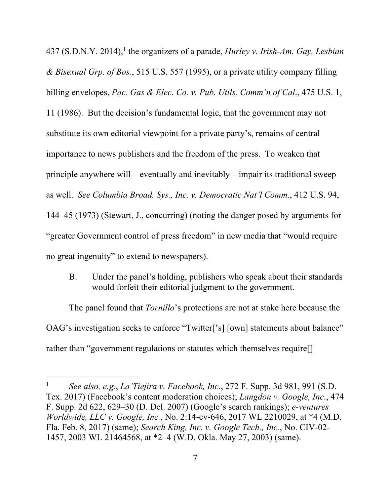437 (S.D.N.Y. 2014), <sup>1</sup> the organizers of a parade, *Hurley v. Irish-Am. Gay, Lesbian & Bisexual Grp. of Bos.*, 515 U.S. 557 (1995), or a private utility company filling billing envelopes, *Pac. Gas & Elec. Co. v. Pub. Utils. Comm'n of Cal*., 475 U.S. 1, 11 (1986). But the decision's fundamental logic, that the government may not substitute its own editorial viewpoint for a private party's, remains of central importance to news publishers and the freedom of the press. To weaken that principle anywhere will—eventually and inevitably—impair its traditional sweep as well. *See Columbia Broad. Sys., Inc. v. Democratic Nat'l Comm.*, 412 U.S. 94, 144–45 (1973) (Stewart, J., concurring) (noting the danger posed by arguments for "greater Government control of press freedom" in new media that "would require no great ingenuity" to extend to newspapers).

B. Under the panel's holding, publishers who speak about their standards would forfeit their editorial judgment to the government.

The panel found that *Tornillo*'s protections are not at stake here because the OAG's investigation seeks to enforce "Twitter['s] [own] statements about balance" rather than "government regulations or statutes which themselves require[]

<sup>1</sup> *See also, e.g.*, *La'Tiejira v. Facebook, Inc.*, 272 F. Supp. 3d 981, 991 (S.D. Tex. 2017) (Facebook's content moderation choices); *Langdon v. Google, Inc*., 474 F. Supp. 2d 622, 629–30 (D. Del. 2007) (Google's search rankings); *e-ventures Worldwide, LLC v. Google, Inc.*, No. 2:14-cv-646, 2017 WL 2210029, at \*4 (M.D. Fla. Feb. 8, 2017) (same); *Search King, Inc. v. Google Tech., Inc.*, No. CIV-02- 1457, 2003 WL 21464568, at \*2–4 (W.D. Okla. May 27, 2003) (same).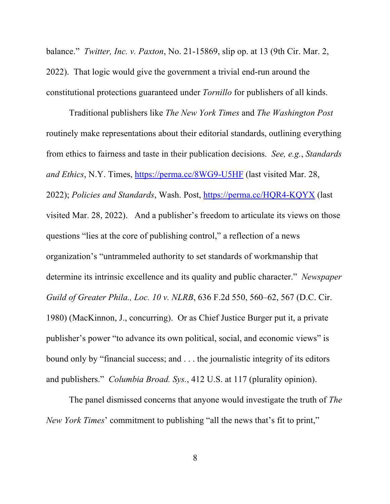balance." *Twitter, Inc. v. Paxton*, No. 21-15869, slip op. at 13 (9th Cir. Mar. 2, 2022). That logic would give the government a trivial end-run around the constitutional protections guaranteed under *Tornillo* for publishers of all kinds.

Traditional publishers like *The New York Times* and *The Washington Post* routinely make representations about their editorial standards, outlining everything from ethics to fairness and taste in their publication decisions. *See, e.g.*, *Standards and Ethics*, N.Y. Times, https://perma.cc/8WG9-U5HF (last visited Mar. 28, 2022); *Policies and Standards*, Wash. Post, https://perma.cc/HQR4-KQYX (last visited Mar. 28, 2022). And a publisher's freedom to articulate its views on those questions "lies at the core of publishing control," a reflection of a news organization's "untrammeled authority to set standards of workmanship that determine its intrinsic excellence and its quality and public character." *Newspaper Guild of Greater Phila., Loc. 10 v. NLRB*, 636 F.2d 550, 560–62, 567 (D.C. Cir. 1980) (MacKinnon, J., concurring). Or as Chief Justice Burger put it, a private publisher's power "to advance its own political, social, and economic views" is bound only by "financial success; and . . . the journalistic integrity of its editors and publishers." *Columbia Broad. Sys.*, 412 U.S. at 117 (plurality opinion).

The panel dismissed concerns that anyone would investigate the truth of *The New York Times*' commitment to publishing "all the news that's fit to print,"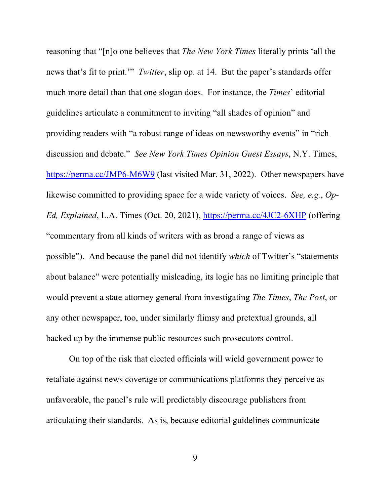reasoning that "[n]o one believes that *The New York Times* literally prints 'all the news that's fit to print.'" *Twitter*, slip op. at 14. But the paper's standards offer much more detail than that one slogan does. For instance, the *Times*' editorial guidelines articulate a commitment to inviting "all shades of opinion" and providing readers with "a robust range of ideas on newsworthy events" in "rich discussion and debate." *See New York Times Opinion Guest Essays*, N.Y. Times, https://perma.cc/JMP6-M6W9 (last visited Mar. 31, 2022). Other newspapers have likewise committed to providing space for a wide variety of voices. *See, e.g.*, *Op-Ed, Explained*, L.A. Times (Oct. 20, 2021), https://perma.cc/4JC2-6XHP (offering "commentary from all kinds of writers with as broad a range of views as possible"). And because the panel did not identify *which* of Twitter's "statements about balance" were potentially misleading, its logic has no limiting principle that would prevent a state attorney general from investigating *The Times*, *The Post*, or any other newspaper, too, under similarly flimsy and pretextual grounds, all backed up by the immense public resources such prosecutors control.

On top of the risk that elected officials will wield government power to retaliate against news coverage or communications platforms they perceive as unfavorable, the panel's rule will predictably discourage publishers from articulating their standards. As is, because editorial guidelines communicate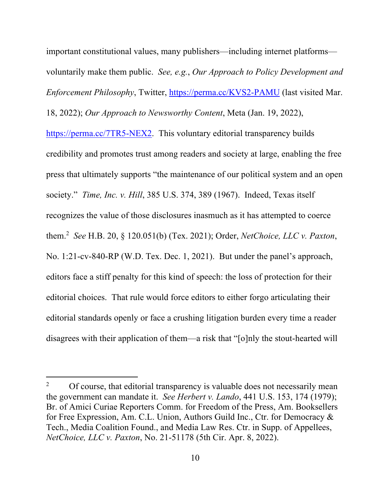important constitutional values, many publishers—including internet platforms voluntarily make them public. *See, e.g.*, *Our Approach to Policy Development and Enforcement Philosophy*, Twitter, *https://perma.cc/KVS2-PAMU* (last visited Mar. 18, 2022); *Our Approach to Newsworthy Content*, Meta (Jan. 19, 2022),

https://perma.cc/7TR5-NEX2. This voluntary editorial transparency builds credibility and promotes trust among readers and society at large, enabling the free press that ultimately supports "the maintenance of our political system and an open society." *Time, Inc. v. Hill*, 385 U.S. 374, 389 (1967). Indeed, Texas itself recognizes the value of those disclosures inasmuch as it has attempted to coerce them.2 *See* H.B. 20, § 120.051(b) (Tex. 2021); Order, *NetChoice, LLC v. Paxton*, No. 1:21-cv-840-RP (W.D. Tex. Dec. 1, 2021). But under the panel's approach, editors face a stiff penalty for this kind of speech: the loss of protection for their editorial choices. That rule would force editors to either forgo articulating their editorial standards openly or face a crushing litigation burden every time a reader disagrees with their application of them—a risk that "[o]nly the stout-hearted will

<sup>&</sup>lt;sup>2</sup> Of course, that editorial transparency is valuable does not necessarily mean the government can mandate it. *See Herbert v. Lando*, 441 U.S. 153, 174 (1979); Br. of Amici Curiae Reporters Comm. for Freedom of the Press, Am. Booksellers for Free Expression, Am. C.L. Union, Authors Guild Inc., Ctr. for Democracy & Tech., Media Coalition Found., and Media Law Res. Ctr. in Supp. of Appellees, *NetChoice, LLC v. Paxton*, No. 21-51178 (5th Cir. Apr. 8, 2022).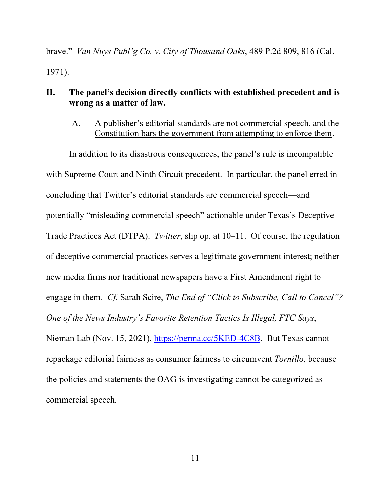brave." *Van Nuys Publ'g Co. v. City of Thousand Oaks*, 489 P.2d 809, 816 (Cal. 1971).

### **II. The panel's decision directly conflicts with established precedent and is wrong as a matter of law.**

A. A publisher's editorial standards are not commercial speech, and the Constitution bars the government from attempting to enforce them.

In addition to its disastrous consequences, the panel's rule is incompatible with Supreme Court and Ninth Circuit precedent. In particular, the panel erred in concluding that Twitter's editorial standards are commercial speech—and potentially "misleading commercial speech" actionable under Texas's Deceptive Trade Practices Act (DTPA). *Twitter*, slip op. at 10–11. Of course, the regulation of deceptive commercial practices serves a legitimate government interest; neither new media firms nor traditional newspapers have a First Amendment right to engage in them. *Cf.* Sarah Scire, *The End of "Click to Subscribe, Call to Cancel"? One of the News Industry's Favorite Retention Tactics Is Illegal, FTC Says*, Nieman Lab (Nov. 15, 2021), https://perma.cc/5KED-4C8B. But Texas cannot repackage editorial fairness as consumer fairness to circumvent *Tornillo*, because the policies and statements the OAG is investigating cannot be categorized as commercial speech.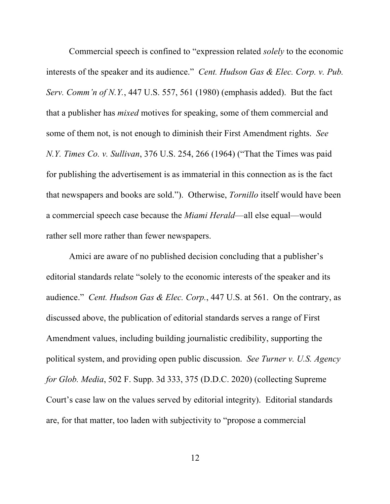Commercial speech is confined to "expression related *solely* to the economic interests of the speaker and its audience." *Cent. Hudson Gas & Elec. Corp. v. Pub. Serv. Comm'n of N.Y.*, 447 U.S. 557, 561 (1980) (emphasis added). But the fact that a publisher has *mixed* motives for speaking, some of them commercial and some of them not, is not enough to diminish their First Amendment rights. *See N.Y. Times Co. v. Sullivan*, 376 U.S. 254, 266 (1964) ("That the Times was paid for publishing the advertisement is as immaterial in this connection as is the fact that newspapers and books are sold."). Otherwise, *Tornillo* itself would have been a commercial speech case because the *Miami Herald*—all else equal—would rather sell more rather than fewer newspapers.

Amici are aware of no published decision concluding that a publisher's editorial standards relate "solely to the economic interests of the speaker and its audience." *Cent. Hudson Gas & Elec. Corp.*, 447 U.S. at 561. On the contrary, as discussed above, the publication of editorial standards serves a range of First Amendment values, including building journalistic credibility, supporting the political system, and providing open public discussion. *See Turner v. U.S. Agency for Glob. Media*, 502 F. Supp. 3d 333, 375 (D.D.C. 2020) (collecting Supreme Court's case law on the values served by editorial integrity). Editorial standards are, for that matter, too laden with subjectivity to "propose a commercial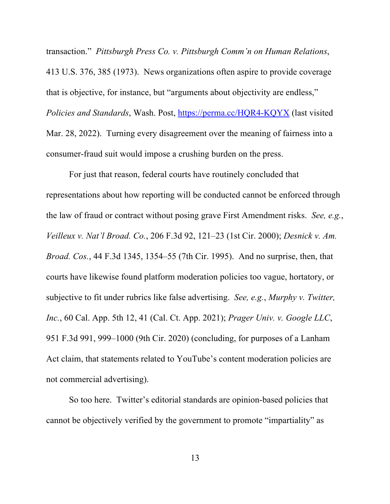transaction." *Pittsburgh Press Co. v. Pittsburgh Comm'n on Human Relations*, 413 U.S. 376, 385 (1973). News organizations often aspire to provide coverage that is objective, for instance, but "arguments about objectivity are endless," *Policies and Standards*, Wash. Post, https://perma.cc/HQR4-KQYX (last visited Mar. 28, 2022). Turning every disagreement over the meaning of fairness into a consumer-fraud suit would impose a crushing burden on the press.

For just that reason, federal courts have routinely concluded that representations about how reporting will be conducted cannot be enforced through the law of fraud or contract without posing grave First Amendment risks. *See, e.g.*, *Veilleux v. Nat'l Broad. Co.*, 206 F.3d 92, 121–23 (1st Cir. 2000); *Desnick v. Am. Broad. Cos.*, 44 F.3d 1345, 1354–55 (7th Cir. 1995). And no surprise, then, that courts have likewise found platform moderation policies too vague, hortatory, or subjective to fit under rubrics like false advertising. *See, e.g.*, *Murphy v. Twitter, Inc.*, 60 Cal. App. 5th 12, 41 (Cal. Ct. App. 2021); *Prager Univ. v. Google LLC*, 951 F.3d 991, 999–1000 (9th Cir. 2020) (concluding, for purposes of a Lanham Act claim, that statements related to YouTube's content moderation policies are not commercial advertising).

So too here. Twitter's editorial standards are opinion-based policies that cannot be objectively verified by the government to promote "impartiality" as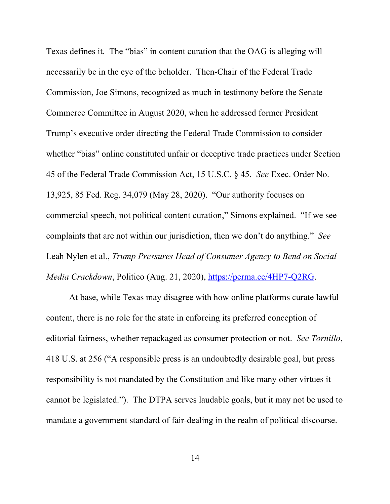Texas defines it. The "bias" in content curation that the OAG is alleging will necessarily be in the eye of the beholder. Then-Chair of the Federal Trade Commission, Joe Simons, recognized as much in testimony before the Senate Commerce Committee in August 2020, when he addressed former President Trump's executive order directing the Federal Trade Commission to consider whether "bias" online constituted unfair or deceptive trade practices under Section 45 of the Federal Trade Commission Act, 15 U.S.C. § 45. *See* Exec. Order No. 13,925, 85 Fed. Reg. 34,079 (May 28, 2020). "Our authority focuses on commercial speech, not political content curation," Simons explained. "If we see complaints that are not within our jurisdiction, then we don't do anything." *See* Leah Nylen et al., *Trump Pressures Head of Consumer Agency to Bend on Social Media Crackdown*, Politico (Aug. 21, 2020), https://perma.cc/4HP7-Q2RG.

At base, while Texas may disagree with how online platforms curate lawful content, there is no role for the state in enforcing its preferred conception of editorial fairness, whether repackaged as consumer protection or not. *See Tornillo*, 418 U.S. at 256 ("A responsible press is an undoubtedly desirable goal, but press responsibility is not mandated by the Constitution and like many other virtues it cannot be legislated."). The DTPA serves laudable goals, but it may not be used to mandate a government standard of fair-dealing in the realm of political discourse.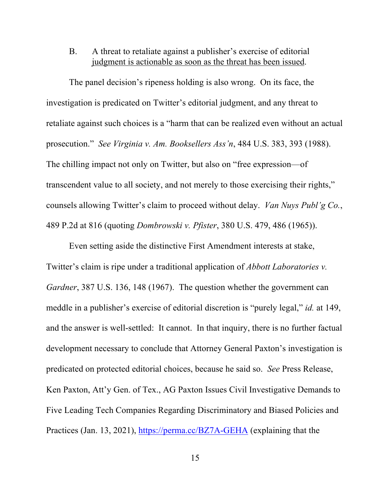#### B. A threat to retaliate against a publisher's exercise of editorial judgment is actionable as soon as the threat has been issued.

The panel decision's ripeness holding is also wrong. On its face, the investigation is predicated on Twitter's editorial judgment, and any threat to retaliate against such choices is a "harm that can be realized even without an actual prosecution." *See Virginia v. Am. Booksellers Ass'n*, 484 U.S. 383, 393 (1988). The chilling impact not only on Twitter, but also on "free expression—of transcendent value to all society, and not merely to those exercising their rights," counsels allowing Twitter's claim to proceed without delay. *Van Nuys Publ'g Co.*, 489 P.2d at 816 (quoting *Dombrowski v. Pfister*, 380 U.S. 479, 486 (1965)).

Even setting aside the distinctive First Amendment interests at stake, Twitter's claim is ripe under a traditional application of *Abbott Laboratories v. Gardner*, 387 U.S. 136, 148 (1967). The question whether the government can meddle in a publisher's exercise of editorial discretion is "purely legal," *id.* at 149, and the answer is well-settled: It cannot. In that inquiry, there is no further factual development necessary to conclude that Attorney General Paxton's investigation is predicated on protected editorial choices, because he said so. *See* Press Release, Ken Paxton, Att'y Gen. of Tex., AG Paxton Issues Civil Investigative Demands to Five Leading Tech Companies Regarding Discriminatory and Biased Policies and Practices (Jan. 13, 2021), https://perma.cc/BZ7A-GEHA (explaining that the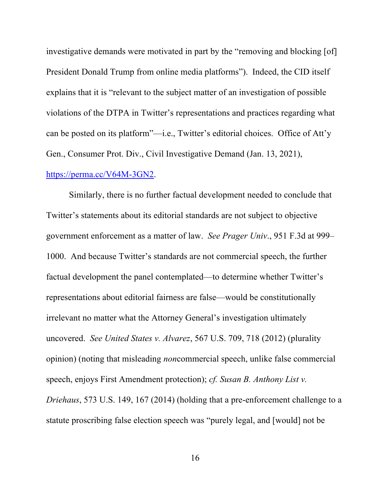investigative demands were motivated in part by the "removing and blocking [of] President Donald Trump from online media platforms"). Indeed, the CID itself explains that it is "relevant to the subject matter of an investigation of possible violations of the DTPA in Twitter's representations and practices regarding what can be posted on its platform"—i.e., Twitter's editorial choices. Office of Att'y Gen., Consumer Prot. Div., Civil Investigative Demand (Jan. 13, 2021), https://perma.cc/V64M-3GN2.

Similarly, there is no further factual development needed to conclude that Twitter's statements about its editorial standards are not subject to objective government enforcement as a matter of law. *See Prager Univ*., 951 F.3d at 999– 1000. And because Twitter's standards are not commercial speech, the further factual development the panel contemplated—to determine whether Twitter's representations about editorial fairness are false—would be constitutionally irrelevant no matter what the Attorney General's investigation ultimately uncovered. *See United States v. Alvarez*, 567 U.S. 709, 718 (2012) (plurality opinion) (noting that misleading *non*commercial speech, unlike false commercial speech, enjoys First Amendment protection); *cf. Susan B. Anthony List v. Driehaus*, 573 U.S. 149, 167 (2014) (holding that a pre-enforcement challenge to a statute proscribing false election speech was "purely legal, and [would] not be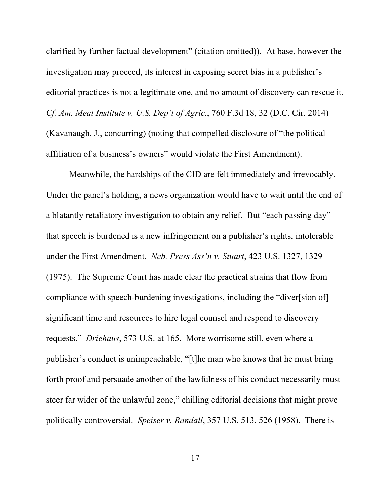clarified by further factual development" (citation omitted)). At base, however the investigation may proceed, its interest in exposing secret bias in a publisher's editorial practices is not a legitimate one, and no amount of discovery can rescue it. *Cf. Am. Meat Institute v. U.S. Dep't of Agric.*, 760 F.3d 18, 32 (D.C. Cir. 2014) (Kavanaugh, J., concurring) (noting that compelled disclosure of "the political affiliation of a business's owners" would violate the First Amendment).

Meanwhile, the hardships of the CID are felt immediately and irrevocably. Under the panel's holding, a news organization would have to wait until the end of a blatantly retaliatory investigation to obtain any relief. But "each passing day" that speech is burdened is a new infringement on a publisher's rights, intolerable under the First Amendment. *Neb. Press Ass'n v. Stuart*, 423 U.S. 1327, 1329 (1975). The Supreme Court has made clear the practical strains that flow from compliance with speech-burdening investigations, including the "diver[sion of] significant time and resources to hire legal counsel and respond to discovery requests." *Driehaus*, 573 U.S. at 165. More worrisome still, even where a publisher's conduct is unimpeachable, "[t]he man who knows that he must bring forth proof and persuade another of the lawfulness of his conduct necessarily must steer far wider of the unlawful zone," chilling editorial decisions that might prove politically controversial. *Speiser v. Randall*, 357 U.S. 513, 526 (1958). There is